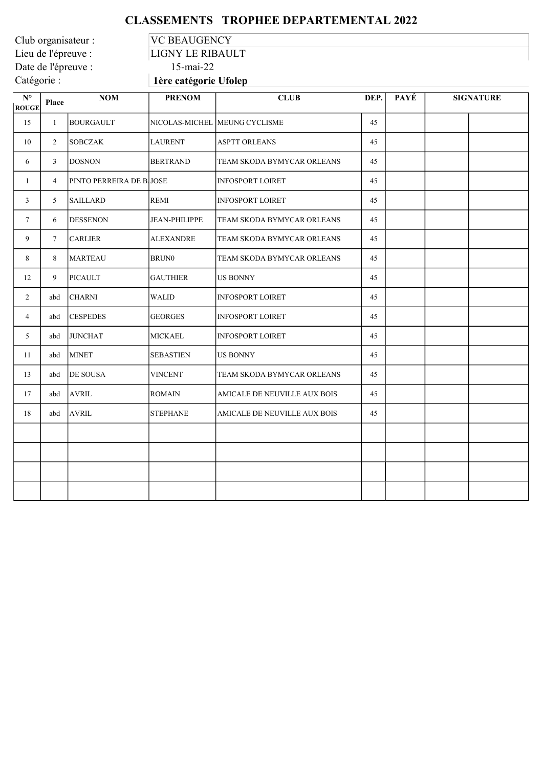## CLASSEMENTS TROPHEE DEPARTEMENTAL 2022

Club organisateur :<br>
Lieu de l'épreuve :<br>
LIGNY LE RIBAU Date de l'épreuve :<br>Catégorie :

LIGNY LE RIBAULT<br>15-mai-22

1ère catégorie Ufolep

| $\mathbf{N}^{\mathsf{o}}$<br><b>ROUGE</b> | Place          | NOM                     | <b>PRENOM</b>        | <b>CLUB</b>                   | DEP. | PAYÉ | <b>SIGNATURE</b> |
|-------------------------------------------|----------------|-------------------------|----------------------|-------------------------------|------|------|------------------|
| 15                                        | $\mathbf{1}$   | <b>BOURGAULT</b>        |                      | NICOLAS-MICHEL MEUNG CYCLISME | 45   |      |                  |
| 10                                        | $\overline{2}$ | <b>SOBCZAK</b>          | <b>LAURENT</b>       | <b>ASPTT ORLEANS</b>          | 45   |      |                  |
| 6                                         | 3              | <b>DOSNON</b>           | <b>BERTRAND</b>      | TEAM SKODA BYMYCAR ORLEANS    | 45   |      |                  |
| $\mathbf{1}$                              | $\overline{4}$ | PINTO PERREIRA DE BJOSE |                      | <b>INFOSPORT LOIRET</b>       | 45   |      |                  |
| 3                                         | 5              | <b>SAILLARD</b>         | <b>REMI</b>          | <b>INFOSPORT LOIRET</b>       | 45   |      |                  |
| $7\phantom{.0}$                           | 6              | <b>DESSENON</b>         | <b>JEAN-PHILIPPE</b> | TEAM SKODA BYMYCAR ORLEANS    | 45   |      |                  |
| 9                                         | $\tau$         | <b>CARLIER</b>          | <b>ALEXANDRE</b>     | TEAM SKODA BYMYCAR ORLEANS    | 45   |      |                  |
| 8                                         | 8              | <b>MARTEAU</b>          | <b>BRUN0</b>         | TEAM SKODA BYMYCAR ORLEANS    | 45   |      |                  |
| 12                                        | 9              | <b>PICAULT</b>          | <b>GAUTHIER</b>      | <b>US BONNY</b>               | 45   |      |                  |
| $\overline{2}$                            | abd            | <b>CHARNI</b>           | <b>WALID</b>         | <b>INFOSPORT LOIRET</b>       | 45   |      |                  |
| $\overline{4}$                            | abd            | <b>CESPEDES</b>         | <b>GEORGES</b>       | <b>INFOSPORT LOIRET</b>       | 45   |      |                  |
| 5                                         | abd            | <b>JUNCHAT</b>          | MICKAEL              | <b>INFOSPORT LOIRET</b>       | 45   |      |                  |
| 11                                        | abd            | <b>MINET</b>            | <b>SEBASTIEN</b>     | <b>US BONNY</b>               | 45   |      |                  |
| 13                                        | abd            | DE SOUSA                | <b>VINCENT</b>       | TEAM SKODA BYMYCAR ORLEANS    | 45   |      |                  |
| 17                                        | abd            | <b>AVRIL</b>            | <b>ROMAIN</b>        | AMICALE DE NEUVILLE AUX BOIS  | 45   |      |                  |
| 18                                        | abd            | <b>AVRIL</b>            | <b>STEPHANE</b>      | AMICALE DE NEUVILLE AUX BOIS  | 45   |      |                  |
|                                           |                |                         |                      |                               |      |      |                  |
|                                           |                |                         |                      |                               |      |      |                  |
|                                           |                |                         |                      |                               |      |      |                  |
|                                           |                |                         |                      |                               |      |      |                  |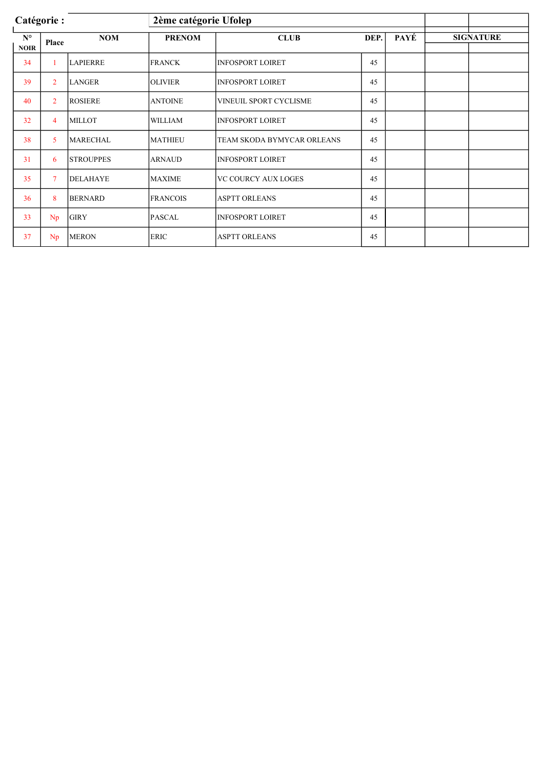| Catégorie : |                |                  |                 | 2ème catégorie Ufolep      |      |      |  |                  |
|-------------|----------------|------------------|-----------------|----------------------------|------|------|--|------------------|
| $N^{\circ}$ | Place          | <b>NOM</b>       | <b>PRENOM</b>   | <b>CLUB</b>                | DEP. | PAYÉ |  | <b>SIGNATURE</b> |
| <b>NOIR</b> |                |                  |                 |                            |      |      |  |                  |
| 34          |                | <b>LAPIERRE</b>  | <b>FRANCK</b>   | <b>INFOSPORT LOIRET</b>    | 45   |      |  |                  |
| 39          | $\overline{2}$ | <b>LANGER</b>    | <b>OLIVIER</b>  | <b>INFOSPORT LOIRET</b>    | 45   |      |  |                  |
| 40          | $\overline{2}$ | <b>ROSIERE</b>   | <b>ANTOINE</b>  | VINEUIL SPORT CYCLISME     | 45   |      |  |                  |
| 32          | $\overline{4}$ | <b>MILLOT</b>    | <b>WILLIAM</b>  | <b>INFOSPORT LOIRET</b>    | 45   |      |  |                  |
| 38          | 5              | <b>MARECHAL</b>  | <b>MATHIEU</b>  | TEAM SKODA BYMYCAR ORLEANS | 45   |      |  |                  |
| 31          | 6              | <b>STROUPPES</b> | <b>ARNAUD</b>   | <b>INFOSPORT LOIRET</b>    | 45   |      |  |                  |
| 35          | $\overline{7}$ | <b>DELAHAYE</b>  | <b>MAXIME</b>   | <b>VC COURCY AUX LOGES</b> | 45   |      |  |                  |
| 36          | 8              | <b>BERNARD</b>   | <b>FRANCOIS</b> | <b>ASPTT ORLEANS</b>       | 45   |      |  |                  |
| 33          | Np             | <b>GIRY</b>      | PASCAL          | <b>INFOSPORT LOIRET</b>    | 45   |      |  |                  |
| 37          | Np             | <b>MERON</b>     | <b>ERIC</b>     | <b>ASPTT ORLEANS</b>       | 45   |      |  |                  |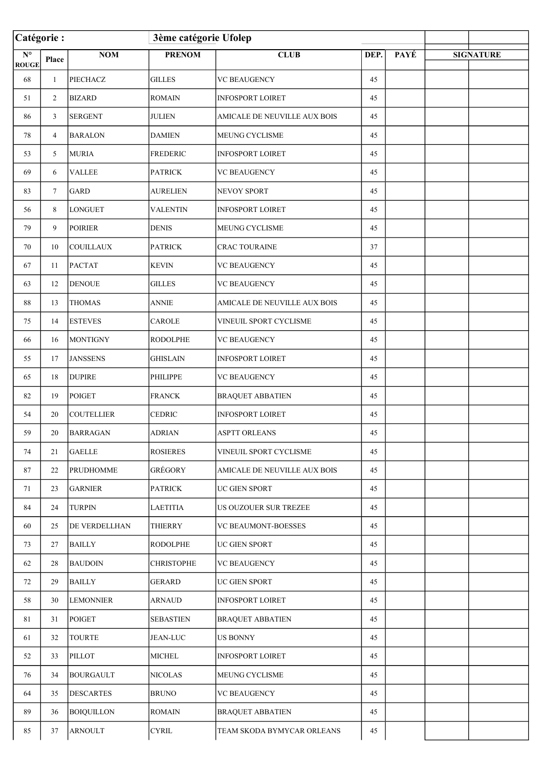|                                                 | Catégorie:     |                      | 3ème catégorie Ufolep |                              |      |      |                  |
|-------------------------------------------------|----------------|----------------------|-----------------------|------------------------------|------|------|------------------|
| $\overline{\mathbf{N}^{\circ}}$<br><b>ROUGE</b> | Place          | $\bf{NOM}$           | <b>PRENOM</b>         | <b>CLUB</b>                  | DEP. | PAYÉ | <b>SIGNATURE</b> |
| 68                                              | $\mathbf{1}$   | PIECHACZ             | <b>GILLES</b>         | <b>VC BEAUGENCY</b>          | 45   |      |                  |
| 51                                              | $\overline{2}$ | <b>BIZARD</b>        | <b>ROMAIN</b>         | <b>INFOSPORT LOIRET</b>      | 45   |      |                  |
| 86                                              | 3              | <b>SERGENT</b>       | <b>JULIEN</b>         | AMICALE DE NEUVILLE AUX BOIS | 45   |      |                  |
| 78                                              | 4              | <b>BARALON</b>       | <b>DAMIEN</b>         | MEUNG CYCLISME               | 45   |      |                  |
| 53                                              | 5              | <b>MURIA</b>         | <b>FREDERIC</b>       | <b>INFOSPORT LOIRET</b>      | 45   |      |                  |
| 69                                              | 6              | <b>VALLEE</b>        | <b>PATRICK</b>        | <b>VC BEAUGENCY</b>          | 45   |      |                  |
| 83                                              | $\tau$         | <b>GARD</b>          | <b>AURELIEN</b>       | NEVOY SPORT                  | 45   |      |                  |
| 56                                              | 8              | <b>LONGUET</b>       | <b>VALENTIN</b>       | <b>INFOSPORT LOIRET</b>      | 45   |      |                  |
| 79                                              | 9              | POIRIER              | <b>DENIS</b>          | <b>MEUNG CYCLISME</b>        | 45   |      |                  |
| 70                                              | 10             | <b>COUILLAUX</b>     | <b>PATRICK</b>        | <b>CRAC TOURAINE</b>         | 37   |      |                  |
| 67                                              | 11             | <b>PACTAT</b>        | <b>KEVIN</b>          | <b>VC BEAUGENCY</b>          | 45   |      |                  |
| 63                                              | 12             | <b>DENOUE</b>        | <b>GILLES</b>         | <b>VC BEAUGENCY</b>          | 45   |      |                  |
| 88                                              | 13             | <b>THOMAS</b>        | <b>ANNIE</b>          | AMICALE DE NEUVILLE AUX BOIS | 45   |      |                  |
| 75                                              | 14             | <b>ESTEVES</b>       | <b>CAROLE</b>         | VINEUIL SPORT CYCLISME       | 45   |      |                  |
| 66                                              | 16             | <b>MONTIGNY</b>      | <b>RODOLPHE</b>       | <b>VC BEAUGENCY</b>          | 45   |      |                  |
| 55                                              | 17             | <b>JANSSENS</b>      | <b>GHISLAIN</b>       | <b>INFOSPORT LOIRET</b>      | 45   |      |                  |
| 65                                              | 18             | <b>DUPIRE</b>        | <b>PHILIPPE</b>       | <b>VC BEAUGENCY</b>          | 45   |      |                  |
| 82                                              | 19             | POIGET               | <b>FRANCK</b>         | <b>BRAQUET ABBATIEN</b>      | 45   |      |                  |
| 54                                              | 20             | <b>COUTELLIER</b>    | <b>CEDRIC</b>         | <b>INFOSPORT LOIRET</b>      | 45   |      |                  |
| 59                                              | 20             | <b>BARRAGAN</b>      | <b>ADRIAN</b>         | <b>ASPTT ORLEANS</b>         | 45   |      |                  |
| 74                                              | 21             | <b>GAELLE</b>        | <b>ROSIERES</b>       | VINEUIL SPORT CYCLISME       | 45   |      |                  |
| 87                                              | 22             | <b>PRUDHOMME</b>     | GRÉGORY               | AMICALE DE NEUVILLE AUX BOIS | 45   |      |                  |
| 71                                              | 23             | <b>GARNIER</b>       | <b>PATRICK</b>        | UC GIEN SPORT                | 45   |      |                  |
| 84                                              | 24             | <b>TURPIN</b>        | <b>LAETITIA</b>       | US OUZOUER SUR TREZEE        | 45   |      |                  |
| 60                                              | 25             | <b>DE VERDELLHAN</b> | <b>THIERRY</b>        | <b>VC BEAUMONT-BOESSES</b>   | 45   |      |                  |
| 73                                              | 27             | <b>BAILLY</b>        | <b>RODOLPHE</b>       | UC GIEN SPORT                | 45   |      |                  |
| 62                                              | 28             | <b>BAUDOIN</b>       | <b>CHRISTOPHE</b>     | <b>VC BEAUGENCY</b>          | 45   |      |                  |
| 72                                              | 29             | <b>BAILLY</b>        | <b>GERARD</b>         | UC GIEN SPORT                | 45   |      |                  |
| 58                                              | 30             | <b>LEMONNIER</b>     | <b>ARNAUD</b>         | <b>INFOSPORT LOIRET</b>      | 45   |      |                  |
| 81                                              | 31             | <b>POIGET</b>        | <b>SEBASTIEN</b>      | <b>BRAQUET ABBATIEN</b>      | 45   |      |                  |
| 61                                              | 32             | <b>TOURTE</b>        | <b>JEAN-LUC</b>       | <b>US BONNY</b>              | 45   |      |                  |
| 52                                              | 33             | <b>PILLOT</b>        | <b>MICHEL</b>         | <b>INFOSPORT LOIRET</b>      | 45   |      |                  |
| 76                                              | 34             | <b>BOURGAULT</b>     | <b>NICOLAS</b>        | MEUNG CYCLISME               | 45   |      |                  |
| 64                                              | 35             | <b>DESCARTES</b>     | <b>BRUNO</b>          | <b>VC BEAUGENCY</b>          | 45   |      |                  |
| 89                                              | 36             | <b>BOIQUILLON</b>    | <b>ROMAIN</b>         | <b>BRAQUET ABBATIEN</b>      | 45   |      |                  |
| 85                                              | 37             | <b>ARNOULT</b>       | <b>CYRIL</b>          | TEAM SKODA BYMYCAR ORLEANS   | 45   |      |                  |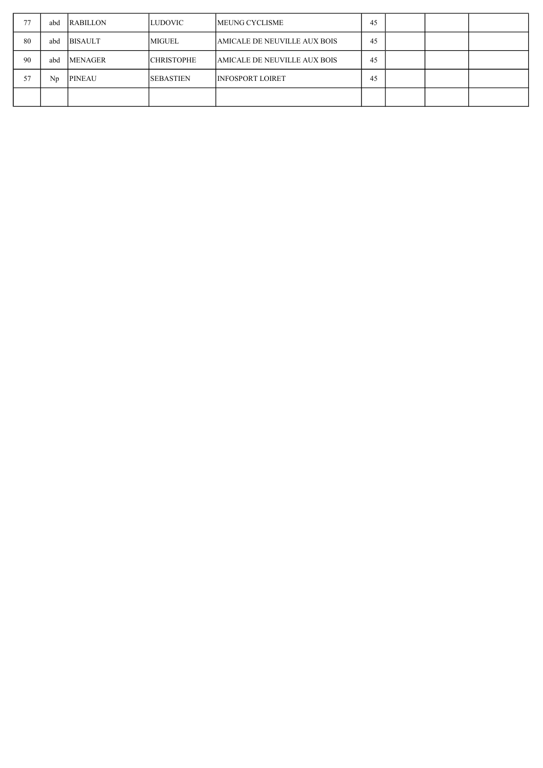| 77 | abd     | <b>RABILLON</b> | LUDOVIC           | <b>IMEUNG CYCLISME</b>       | 45 |  |  |
|----|---------|-----------------|-------------------|------------------------------|----|--|--|
| 80 | abd     | <b>BISAULT</b>  | <b>MIGUEL</b>     | AMICALE DE NEUVILLE AUX BOIS | 45 |  |  |
| 90 | abd     | <b>MENAGER</b>  | <b>CHRISTOPHE</b> | AMICALE DE NEUVILLE AUX BOIS | 45 |  |  |
| 57 | $N_{D}$ | <b>PINEAU</b>   | <b>SEBASTIEN</b>  | INFOSPORT LOIRET             | 45 |  |  |
|    |         |                 |                   |                              |    |  |  |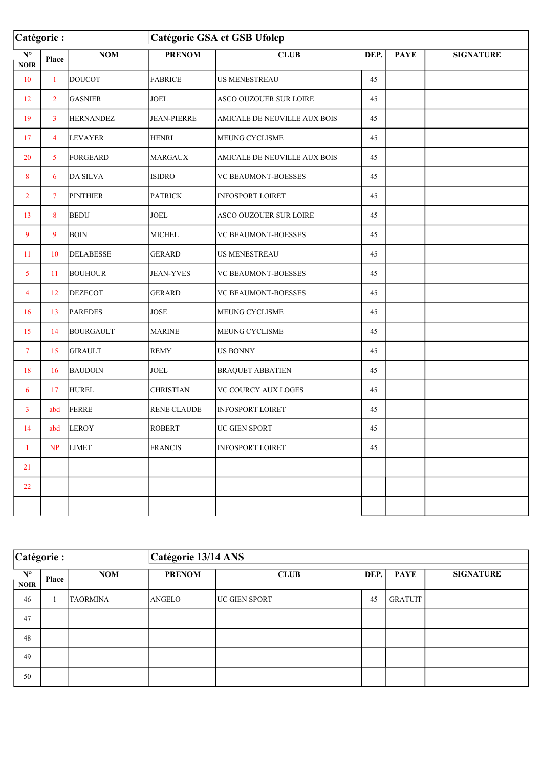| Catégorie :                                    |                 |                  | Catégorie GSA et GSB Ufolep |                              |      |             |                  |  |  |
|------------------------------------------------|-----------------|------------------|-----------------------------|------------------------------|------|-------------|------------------|--|--|
| $\overline{\mathbf{N}^{\circ}}$<br><b>NOIR</b> | Place           | <b>NOM</b>       | <b>PRENOM</b>               | <b>CLUB</b>                  | DEP. | <b>PAYE</b> | <b>SIGNATURE</b> |  |  |
| 10                                             | $\mathbf{1}$    | <b>DOUCOT</b>    | <b>FABRICE</b>              | US MENESTREAU                | 45   |             |                  |  |  |
| 12                                             | $\overline{2}$  | <b>GASNIER</b>   | <b>JOEL</b>                 | ASCO OUZOUER SUR LOIRE       | 45   |             |                  |  |  |
| 19                                             | $\overline{3}$  | <b>HERNANDEZ</b> | <b>JEAN-PIERRE</b>          | AMICALE DE NEUVILLE AUX BOIS | 45   |             |                  |  |  |
| 17                                             | 4               | <b>LEVAYER</b>   | <b>HENRI</b>                | <b>MEUNG CYCLISME</b>        | 45   |             |                  |  |  |
| 20                                             | $5\overline{)}$ | <b>FORGEARD</b>  | <b>MARGAUX</b>              | AMICALE DE NEUVILLE AUX BOIS | 45   |             |                  |  |  |
| 8                                              | 6               | <b>DA SILVA</b>  | <b>ISIDRO</b>               | VC BEAUMONT-BOESSES          | 45   |             |                  |  |  |
| $\overline{2}$                                 | $\tau$          | <b>PINTHIER</b>  | <b>PATRICK</b>              | <b>INFOSPORT LOIRET</b>      | 45   |             |                  |  |  |
| 13                                             | 8               | <b>BEDU</b>      | <b>JOEL</b>                 | ASCO OUZOUER SUR LOIRE       | 45   |             |                  |  |  |
| 9                                              | 9               | <b>BOIN</b>      | <b>MICHEL</b>               | <b>VC BEAUMONT-BOESSES</b>   | 45   |             |                  |  |  |
| 11                                             | 10              | <b>DELABESSE</b> | <b>GERARD</b>               | US MENESTREAU                | 45   |             |                  |  |  |
| $5^{\circ}$                                    | 11              | <b>BOUHOUR</b>   | <b>JEAN-YVES</b>            | VC BEAUMONT-BOESSES          | 45   |             |                  |  |  |
| 4                                              | 12              | <b>DEZECOT</b>   | <b>GERARD</b>               | VC BEAUMONT-BOESSES          | 45   |             |                  |  |  |
| 16                                             | 13              | <b>PAREDES</b>   | <b>JOSE</b>                 | MEUNG CYCLISME               | 45   |             |                  |  |  |
| 15                                             | 14              | <b>BOURGAULT</b> | <b>MARINE</b>               | MEUNG CYCLISME               | 45   |             |                  |  |  |
| $\tau$                                         | 15              | <b>GIRAULT</b>   | <b>REMY</b>                 | US BONNY                     | 45   |             |                  |  |  |
| 18                                             | 16              | <b>BAUDOIN</b>   | <b>JOEL</b>                 | <b>BRAQUET ABBATIEN</b>      | 45   |             |                  |  |  |
| 6                                              | 17              | <b>HUREL</b>     | <b>CHRISTIAN</b>            | VC COURCY AUX LOGES          | 45   |             |                  |  |  |
| $\mathbf{3}$                                   | abd             | <b>FERRE</b>     | <b>RENE CLAUDE</b>          | <b>INFOSPORT LOIRET</b>      | 45   |             |                  |  |  |
| 14                                             | abd             | <b>LEROY</b>     | <b>ROBERT</b>               | UC GIEN SPORT                | 45   |             |                  |  |  |
| $\mathbf{1}$                                   | N <sub>P</sub>  | <b>LIMET</b>     | <b>FRANCIS</b>              | <b>INFOSPORT LOIRET</b>      | 45   |             |                  |  |  |
| 21                                             |                 |                  |                             |                              |      |             |                  |  |  |
| 22                                             |                 |                  |                             |                              |      |             |                  |  |  |
|                                                |                 |                  |                             |                              |      |             |                  |  |  |

| Catégorie :                |       |                 | Catégorie 13/14 ANS |                       |      |                |                  |  |
|----------------------------|-------|-----------------|---------------------|-----------------------|------|----------------|------------------|--|
| $N^{\circ}$<br><b>NOIR</b> | Place | <b>NOM</b>      | <b>PRENOM</b>       | <b>CLUB</b>           | DEP. | <b>PAYE</b>    | <b>SIGNATURE</b> |  |
| 46                         | л.    | <b>TAORMINA</b> | ANGELO              | <b>IUC GIEN SPORT</b> | 45   | <b>GRATUIT</b> |                  |  |
| 47                         |       |                 |                     |                       |      |                |                  |  |
| 48                         |       |                 |                     |                       |      |                |                  |  |
| 49                         |       |                 |                     |                       |      |                |                  |  |
| 50                         |       |                 |                     |                       |      |                |                  |  |